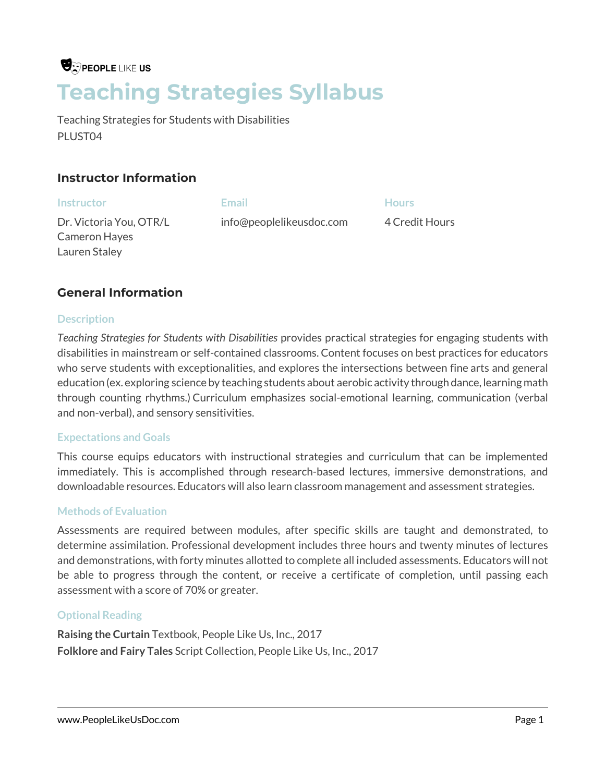# **U**: PEOPLE LIKE US **Teaching Strategies Syllabus**

Teaching Strategies for Students with Disabilities PLUST04

## **Instructor Information**

| <b>Instructor</b>       | Email                    | <b>Hours</b>   |
|-------------------------|--------------------------|----------------|
| Dr. Victoria You, OTR/L | info@peoplelikeusdoc.com | 4 Credit Hours |
| Cameron Hayes           |                          |                |
| Lauren Staley           |                          |                |

## **General Information**

### **Description**

*Teaching Strategies for Students with Disabilities* provides practical strategies for engaging students with disabilities in mainstream or self-contained classrooms. Content focuses on best practices for educators who serve students with exceptionalities, and explores the intersections between fine arts and general education (ex. exploring science by teaching students about aerobic activity through dance, learning math through counting rhythms.) Curriculum emphasizes social-emotional learning, communication (verbal and non-verbal), and sensory sensitivities.

#### **Expectations and Goals**

This course equips educators with instructional strategies and curriculum that can be implemented immediately. This is accomplished through research-based lectures, immersive demonstrations, and downloadable resources. Educators will also learn classroom management and assessment strategies.

#### **Methods of Evaluation**

Assessments are required between modules, after specific skills are taught and demonstrated, to determine assimilation. Professional development includes three hours and twenty minutes of lectures and demonstrations, with forty minutes allotted to complete all included assessments. Educators will not be able to progress through the content, or receive a certificate of completion, until passing each assessment with a score of 70% or greater.

## **Optional Reading**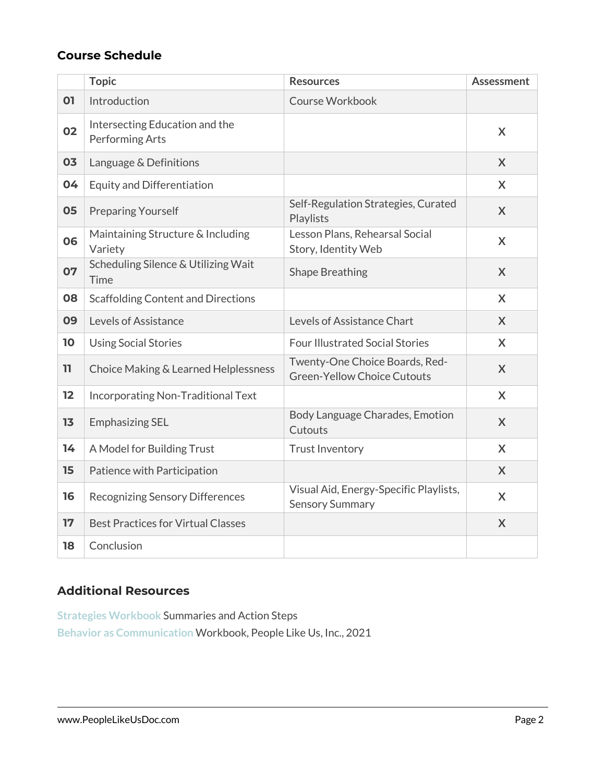|    | <b>Topic</b>                                      | <b>Resources</b>                                                     | <b>Assessment</b> |
|----|---------------------------------------------------|----------------------------------------------------------------------|-------------------|
| 01 | Introduction                                      | Course Workbook                                                      |                   |
| 02 | Intersecting Education and the<br>Performing Arts |                                                                      | X                 |
| 03 | Language & Definitions                            |                                                                      | $\mathsf{X}$      |
| 04 | <b>Equity and Differentiation</b>                 |                                                                      | $\mathsf{x}$      |
| 05 | <b>Preparing Yourself</b>                         | Self-Regulation Strategies, Curated<br>Playlists                     | X                 |
| 06 | Maintaining Structure & Including<br>Variety      | Lesson Plans, Rehearsal Social<br>Story, Identity Web                | $\mathsf{X}$      |
| 07 | Scheduling Silence & Utilizing Wait<br>Time       | <b>Shape Breathing</b>                                               | $\mathsf{X}$      |
| 08 | <b>Scaffolding Content and Directions</b>         |                                                                      | X                 |
| 09 | Levels of Assistance                              | Levels of Assistance Chart                                           | X                 |
| 10 | <b>Using Social Stories</b>                       | <b>Four Illustrated Social Stories</b>                               | X.                |
| 11 | Choice Making & Learned Helplessness              | Twenty-One Choice Boards, Red-<br><b>Green-Yellow Choice Cutouts</b> | $\mathsf{X}$      |
| 12 | Incorporating Non-Traditional Text                |                                                                      | X                 |
| 13 | <b>Emphasizing SEL</b>                            | Body Language Charades, Emotion<br>Cutouts                           | X                 |
| 14 | A Model for Building Trust                        | <b>Trust Inventory</b>                                               | $\mathsf{X}$      |
| 15 | Patience with Participation                       |                                                                      | $\mathsf{X}$      |
| 16 | <b>Recognizing Sensory Differences</b>            | Visual Aid, Energy-Specific Playlists,<br><b>Sensory Summary</b>     | X                 |
| 17 | <b>Best Practices for Virtual Classes</b>         |                                                                      | X                 |
| 18 | Conclusion                                        |                                                                      |                   |

## **Additional Resources**

**Strategies Workbook** Summaries and Action Steps **Behavior as Communication** Workbook, People Like Us, Inc., 2021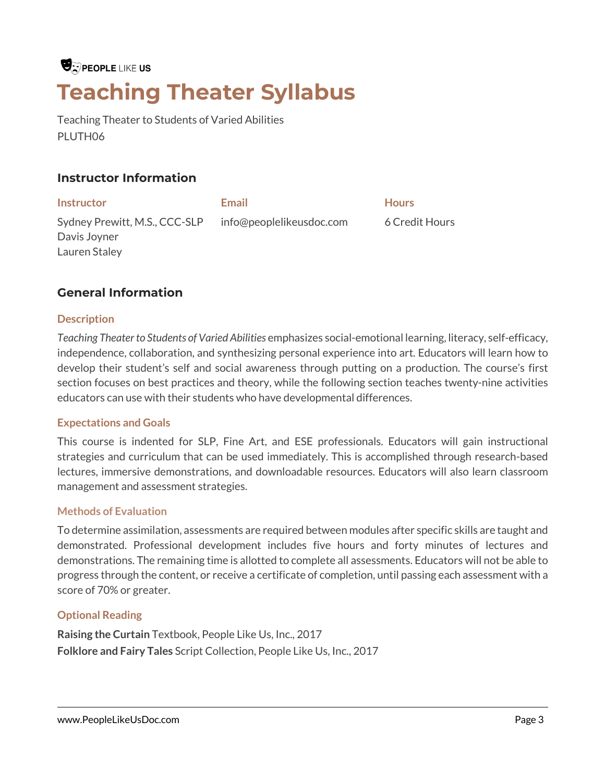# $\bigcirc$  people like us **Teaching Theater Syllabus**

Teaching Theater to Students of Varied Abilities PLUTH06

## **Instructor Information**

**Instructor Email Hours** Sydney Prewitt, M.S., CCC-SLP Davis Joyner Lauren Staley info@peoplelikeusdoc.com 6 Credit Hours

## **General Information**

#### **Description**

*Teaching Theater to Students of Varied Abilities* emphasizes social-emotional learning, literacy, self-efficacy, independence, collaboration, and synthesizing personal experience into art. Educators will learn how to develop their student's self and social awareness through putting on a production. The course's first section focuses on best practices and theory, while the following section teaches twenty-nine activities educators can use with their students who have developmental differences.

#### **Expectations and Goals**

This course is indented for SLP, Fine Art, and ESE professionals. Educators will gain instructional strategies and curriculum that can be used immediately. This is accomplished through research-based lectures, immersive demonstrations, and downloadable resources. Educators will also learn classroom management and assessment strategies.

#### **Methods of Evaluation**

To determine assimilation, assessments are required between modules after specific skills are taught and demonstrated. Professional development includes five hours and forty minutes of lectures and demonstrations. The remaining time is allotted to complete all assessments. Educators will not be able to progress through the content, or receive a certificate of completion, until passing each assessment with a score of 70% or greater.

#### **Optional Reading**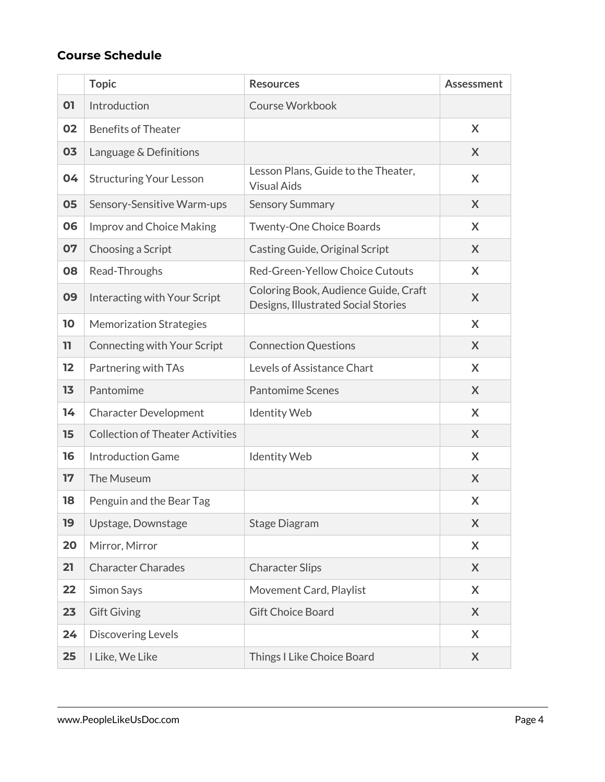|    | <b>Topic</b>                            | <b>Resources</b>                                                            | <b>Assessment</b> |
|----|-----------------------------------------|-----------------------------------------------------------------------------|-------------------|
| 01 | Introduction                            | <b>Course Workbook</b>                                                      |                   |
| 02 | <b>Benefits of Theater</b>              |                                                                             | X                 |
| 03 | Language & Definitions                  |                                                                             | X                 |
| 04 | <b>Structuring Your Lesson</b>          | Lesson Plans, Guide to the Theater,<br><b>Visual Aids</b>                   | X                 |
| 05 | Sensory-Sensitive Warm-ups              | <b>Sensory Summary</b>                                                      | X                 |
| 06 | <b>Improv and Choice Making</b>         | Twenty-One Choice Boards                                                    | X                 |
| 07 | Choosing a Script                       | Casting Guide, Original Script                                              | X                 |
| 08 | Read-Throughs                           | Red-Green-Yellow Choice Cutouts                                             | X                 |
| 09 | Interacting with Your Script            | Coloring Book, Audience Guide, Craft<br>Designs, Illustrated Social Stories | X                 |
| 10 | <b>Memorization Strategies</b>          |                                                                             | X                 |
| 11 | <b>Connecting with Your Script</b>      | <b>Connection Questions</b>                                                 | X                 |
| 12 | Partnering with TAs                     | Levels of Assistance Chart                                                  | X                 |
| 13 | Pantomime                               | <b>Pantomime Scenes</b>                                                     | X                 |
| 14 | <b>Character Development</b>            | <b>Identity Web</b>                                                         | X                 |
| 15 | <b>Collection of Theater Activities</b> |                                                                             | X                 |
| 16 | <b>Introduction Game</b>                | <b>Identity Web</b>                                                         | X                 |
| 17 | The Museum                              |                                                                             | X                 |
| 18 | Penguin and the Bear Tag                |                                                                             | X                 |
| 19 | Upstage, Downstage                      | <b>Stage Diagram</b>                                                        | X                 |
| 20 | Mirror, Mirror                          |                                                                             | X                 |
| 21 | <b>Character Charades</b>               | <b>Character Slips</b>                                                      | X                 |
| 22 | Simon Says                              | Movement Card, Playlist                                                     | X                 |
| 23 | <b>Gift Giving</b>                      | <b>Gift Choice Board</b>                                                    | X                 |
| 24 | <b>Discovering Levels</b>               |                                                                             | X                 |
| 25 | I Like, We Like                         | Things I Like Choice Board                                                  | X                 |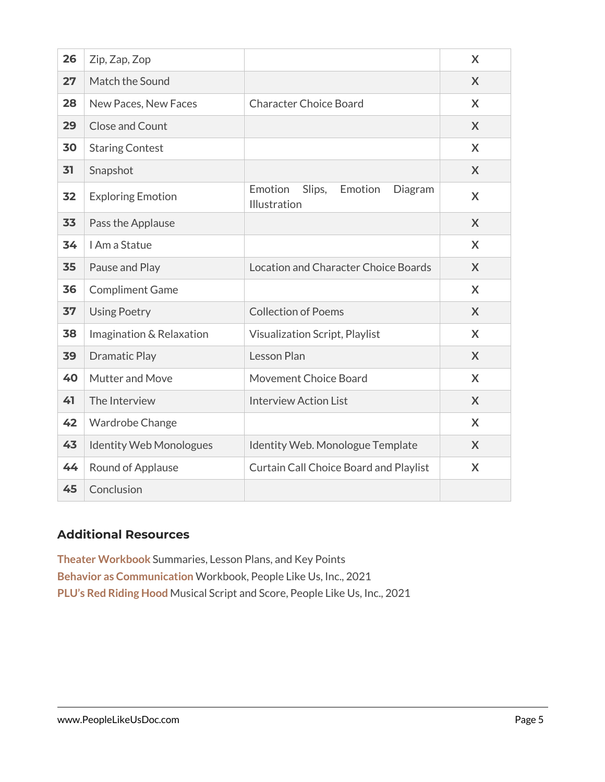| 26 | Zip, Zap, Zop                  |                                                         | X |
|----|--------------------------------|---------------------------------------------------------|---|
| 27 | Match the Sound                |                                                         | X |
| 28 | New Paces, New Faces           | <b>Character Choice Board</b>                           | X |
| 29 | <b>Close and Count</b>         |                                                         | X |
| 30 | <b>Staring Contest</b>         |                                                         | X |
| 31 | Snapshot                       |                                                         | X |
| 32 | <b>Exploring Emotion</b>       | Emotion<br>Slips,<br>Emotion<br>Diagram<br>Illustration | X |
| 33 | Pass the Applause              |                                                         | X |
| 34 | I Am a Statue                  |                                                         | X |
| 35 | Pause and Play                 | Location and Character Choice Boards                    | X |
| 36 | <b>Compliment Game</b>         |                                                         | X |
| 37 | <b>Using Poetry</b>            | <b>Collection of Poems</b>                              | X |
| 38 | Imagination & Relaxation       | <b>Visualization Script, Playlist</b>                   | X |
| 39 | <b>Dramatic Play</b>           | Lesson Plan                                             | X |
| 40 | Mutter and Move                | Movement Choice Board                                   | X |
| 41 | The Interview                  | <b>Interview Action List</b>                            | X |
| 42 | Wardrobe Change                |                                                         | X |
| 43 | <b>Identity Web Monologues</b> | Identity Web. Monologue Template                        | X |
| 44 | Round of Applause              | <b>Curtain Call Choice Board and Playlist</b>           | X |
| 45 | Conclusion                     |                                                         |   |

## **Additional Resources**

**Theater Workbook** Summaries, Lesson Plans, and Key Points **Behavior as Communication** Workbook, People Like Us, Inc., 2021 **PLU's Red Riding Hood** Musical Script and Score, People Like Us, Inc., 2021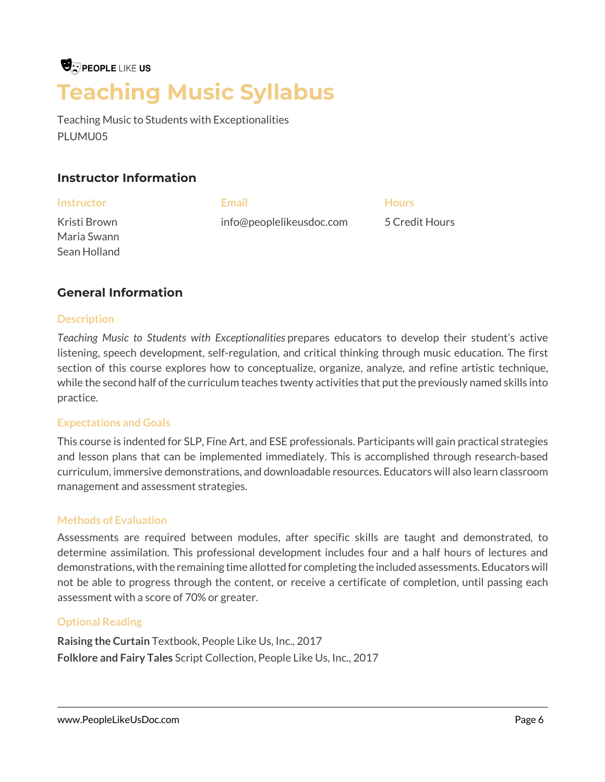# **U**: PEOPLE LIKE US **Teaching Music Syllabus**

Teaching Music to Students with Exceptionalities PLUMU05

## **Instructor Information**

| <b>Instructor</b> | <b>Email</b>             | <b>Hours</b>   |
|-------------------|--------------------------|----------------|
| Kristi Brown      | info@peoplelikeusdoc.com | 5 Credit Hours |
| Maria Swann       |                          |                |

## **General Information**

### **Description**

Sean Holland

*Teaching Music to Students with Exceptionalities* prepares educators to develop their student's active listening, speech development, self-regulation, and critical thinking through music education. The first section of this course explores how to conceptualize, organize, analyze, and refine artistic technique, while the second half of the curriculum teaches twenty activities that put the previously named skills into practice.

#### **Expectations and Goals**

This course is indented for SLP, Fine Art, and ESE professionals. Participants will gain practical strategies and lesson plans that can be implemented immediately. This is accomplished through research-based curriculum, immersive demonstrations, and downloadable resources. Educators will also learn classroom management and assessment strategies.

#### **Methods of Evaluation**

Assessments are required between modules, after specific skills are taught and demonstrated, to determine assimilation. This professional development includes four and a half hours of lectures and demonstrations, with the remaining time allotted for completing the included assessments. Educators will not be able to progress through the content, or receive a certificate of completion, until passing each assessment with a score of 70% or greater.

## **Optional Reading**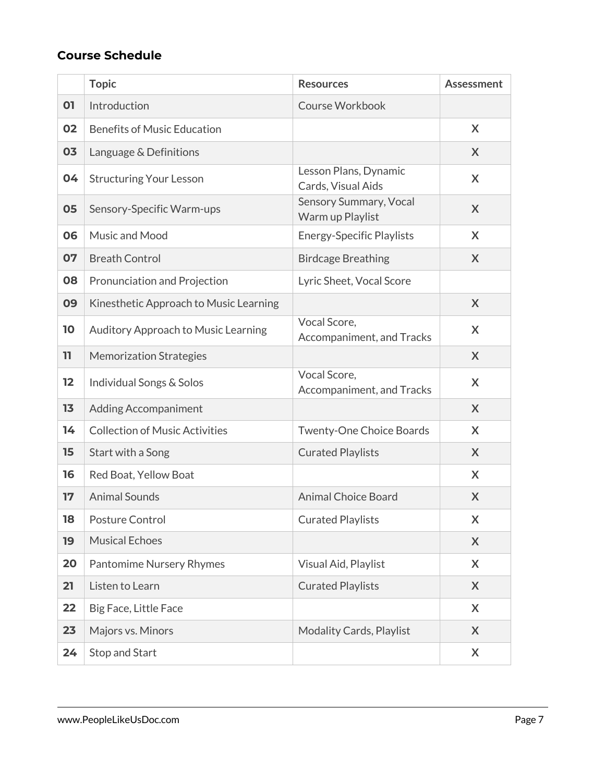|    | <b>Topic</b>                           | <b>Resources</b>                            | <b>Assessment</b> |
|----|----------------------------------------|---------------------------------------------|-------------------|
| 01 | Introduction                           | <b>Course Workbook</b>                      |                   |
| 02 | <b>Benefits of Music Education</b>     |                                             | X                 |
| 03 | Language & Definitions                 |                                             | X                 |
| 04 | <b>Structuring Your Lesson</b>         | Lesson Plans, Dynamic<br>Cards, Visual Aids | X                 |
| 05 | Sensory-Specific Warm-ups              | Sensory Summary, Vocal<br>Warm up Playlist  | X                 |
| 06 | Music and Mood                         | <b>Energy-Specific Playlists</b>            | X                 |
| 07 | <b>Breath Control</b>                  | <b>Birdcage Breathing</b>                   | X                 |
| 08 | Pronunciation and Projection           | Lyric Sheet, Vocal Score                    |                   |
| 09 | Kinesthetic Approach to Music Learning |                                             | X                 |
| 10 | Auditory Approach to Music Learning    | Vocal Score,<br>Accompaniment, and Tracks   | X                 |
| 11 | <b>Memorization Strategies</b>         |                                             | X                 |
| 12 | Individual Songs & Solos               | Vocal Score,<br>Accompaniment, and Tracks   | X                 |
| 13 | <b>Adding Accompaniment</b>            |                                             | X                 |
| 14 | <b>Collection of Music Activities</b>  | Twenty-One Choice Boards                    | X                 |
| 15 | Start with a Song                      | <b>Curated Playlists</b>                    | X                 |
| 16 | Red Boat, Yellow Boat                  |                                             | X                 |
| 17 | <b>Animal Sounds</b>                   | <b>Animal Choice Board</b>                  | X                 |
| 18 | Posture Control                        | <b>Curated Playlists</b>                    | X                 |
| 19 | <b>Musical Echoes</b>                  |                                             | X                 |
| 20 | <b>Pantomime Nursery Rhymes</b>        | Visual Aid, Playlist                        | X                 |
| 21 | Listen to Learn                        | <b>Curated Playlists</b>                    | X                 |
| 22 | Big Face, Little Face                  |                                             | X                 |
| 23 | Majors vs. Minors                      | <b>Modality Cards, Playlist</b>             | X                 |
| 24 | Stop and Start                         |                                             | X                 |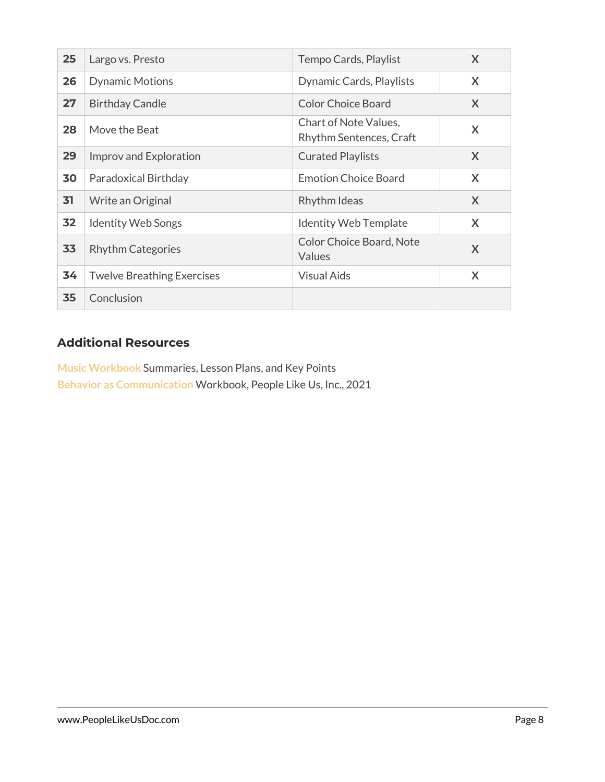| 25 | Largo vs. Presto                  | Tempo Cards, Playlist                            | X |
|----|-----------------------------------|--------------------------------------------------|---|
| 26 | <b>Dynamic Motions</b>            | Dynamic Cards, Playlists                         | X |
| 27 | <b>Birthday Candle</b>            | <b>Color Choice Board</b>                        | X |
| 28 | Move the Beat                     | Chart of Note Values,<br>Rhythm Sentences, Craft | X |
| 29 | Improv and Exploration            | <b>Curated Playlists</b>                         | X |
| 30 | Paradoxical Birthday              | <b>Emotion Choice Board</b>                      | X |
| 31 | Write an Original                 | Rhythm Ideas                                     | X |
| 32 | <b>Identity Web Songs</b>         | <b>Identity Web Template</b>                     | X |
| 33 | <b>Rhythm Categories</b>          | <b>Color Choice Board, Note</b><br>Values        | X |
| 34 | <b>Twelve Breathing Exercises</b> | <b>Visual Aids</b>                               | X |
| 35 | Conclusion                        |                                                  |   |

# **Additional Resources**

**Music Workbook** Summaries, Lesson Plans, and Key Points **Behavior as Communication** Workbook, People Like Us, Inc., 2021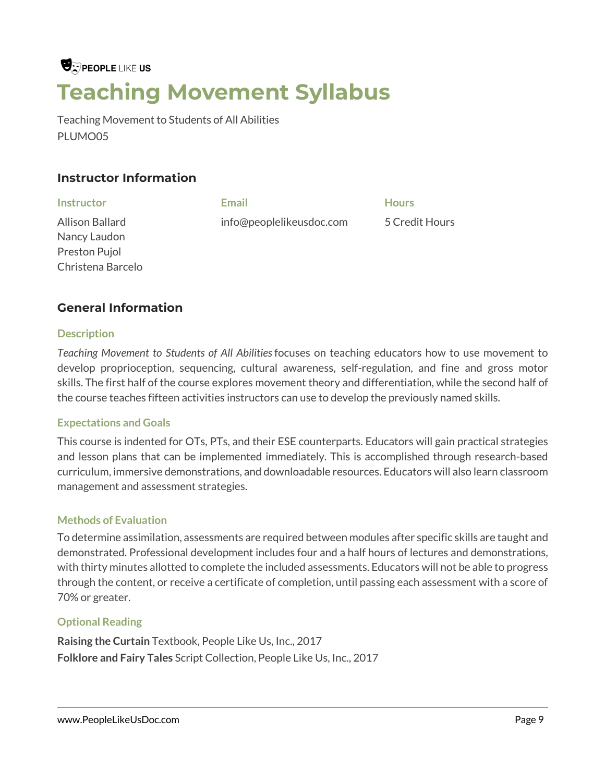# **U**: PEOPLE LIKE US **Teaching Movement Syllabus**

Teaching Movement to Students of All Abilities PLUMO05

## **Instructor Information**

| <b>Instructor</b> | Email                    | <b>Hours</b>   |
|-------------------|--------------------------|----------------|
| Allison Ballard   | info@peoplelikeusdoc.com | 5 Credit Hours |
| Nancy Laudon      |                          |                |
| Preston Pujol     |                          |                |

## **General Information**

### **Description**

Christena Barcelo

*Teaching Movement to Students of All Abilities*focuses on teaching educators how to use movement to develop proprioception, sequencing, cultural awareness, self-regulation, and fine and gross motor skills. The first half of the course explores movement theory and differentiation, while the second half of the course teaches fifteen activities instructors can use to develop the previously named skills.

#### **Expectations and Goals**

This course is indented for OTs, PTs, and their ESE counterparts. Educators will gain practical strategies and lesson plans that can be implemented immediately. This is accomplished through research-based curriculum, immersive demonstrations, and downloadable resources. Educators will also learn classroom management and assessment strategies.

#### **Methods of Evaluation**

To determine assimilation, assessments are required between modules after specific skills are taught and demonstrated. Professional development includes four and a half hours of lectures and demonstrations, with thirty minutes allotted to complete the included assessments. Educators will not be able to progress through the content, or receive a certificate of completion, until passing each assessment with a score of 70% or greater.

## **Optional Reading**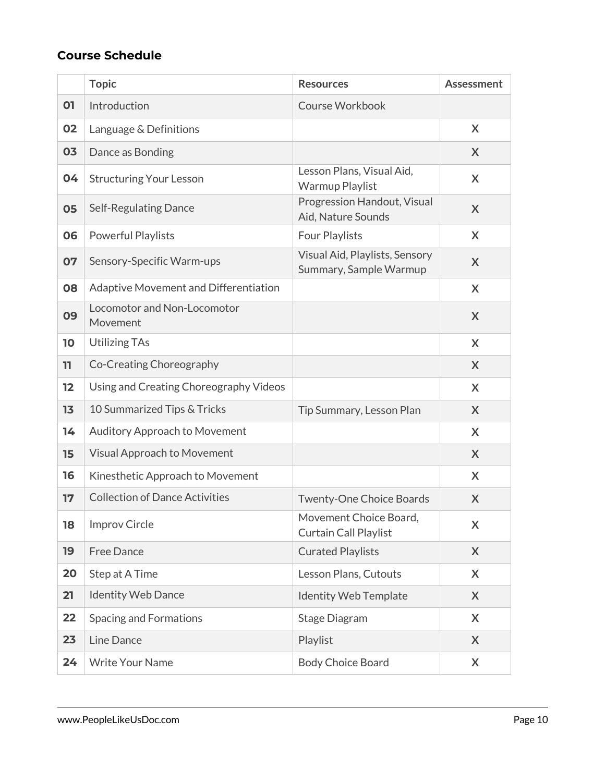|    | <b>Topic</b>                            | <b>Resources</b>                                         | <b>Assessment</b> |
|----|-----------------------------------------|----------------------------------------------------------|-------------------|
| 01 | Introduction                            | Course Workbook                                          |                   |
| 02 | Language & Definitions                  |                                                          | X                 |
| 03 | Dance as Bonding                        |                                                          | X                 |
| 04 | <b>Structuring Your Lesson</b>          | Lesson Plans, Visual Aid,<br>Warmup Playlist             | X                 |
| 05 | <b>Self-Regulating Dance</b>            | Progression Handout, Visual<br>Aid, Nature Sounds        | X                 |
| 06 | Powerful Playlists                      | Four Playlists                                           | X                 |
| 07 | Sensory-Specific Warm-ups               | Visual Aid, Playlists, Sensory<br>Summary, Sample Warmup | X                 |
| 08 | Adaptive Movement and Differentiation   |                                                          | X                 |
| 09 | Locomotor and Non-Locomotor<br>Movement |                                                          | X                 |
| 10 | <b>Utilizing TAs</b>                    |                                                          | X                 |
| 11 | Co-Creating Choreography                |                                                          | X                 |
| 12 | Using and Creating Choreography Videos  |                                                          | X                 |
| 13 | 10 Summarized Tips & Tricks             | Tip Summary, Lesson Plan                                 | X                 |
| 14 | Auditory Approach to Movement           |                                                          | X                 |
| 15 | <b>Visual Approach to Movement</b>      |                                                          | X                 |
| 16 | Kinesthetic Approach to Movement        |                                                          | X                 |
| 17 | <b>Collection of Dance Activities</b>   | <b>Twenty-One Choice Boards</b>                          | X                 |
| 18 | <b>Improv Circle</b>                    | Movement Choice Board,<br>Curtain Call Playlist          | X                 |
| 19 | <b>Free Dance</b>                       | <b>Curated Playlists</b>                                 | X                 |
| 20 | Step at A Time                          | Lesson Plans, Cutouts                                    | X                 |
| 21 | <b>Identity Web Dance</b>               | <b>Identity Web Template</b>                             | X                 |
| 22 | <b>Spacing and Formations</b>           | Stage Diagram                                            | X                 |
| 23 | Line Dance                              | Playlist                                                 | X                 |
| 24 | <b>Write Your Name</b>                  | <b>Body Choice Board</b>                                 | X                 |